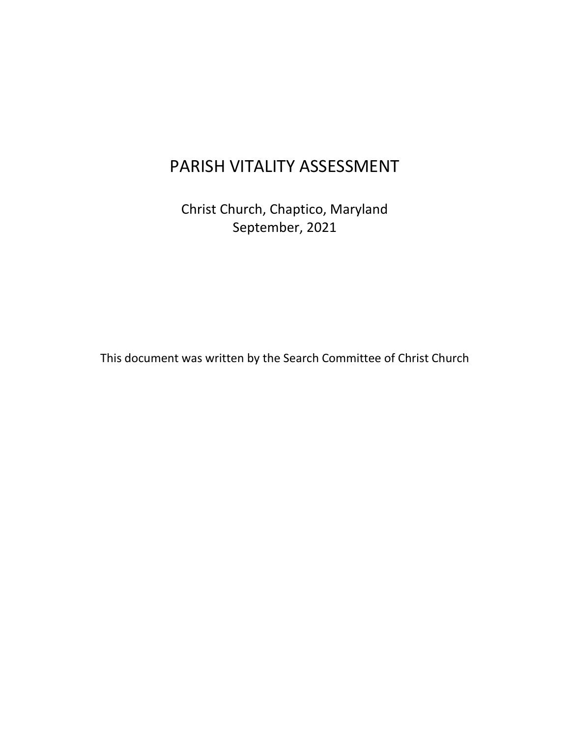# PARISH VITALITY ASSESSMENT

Christ Church, Chaptico, Maryland September, 2021

This document was written by the Search Committee of Christ Church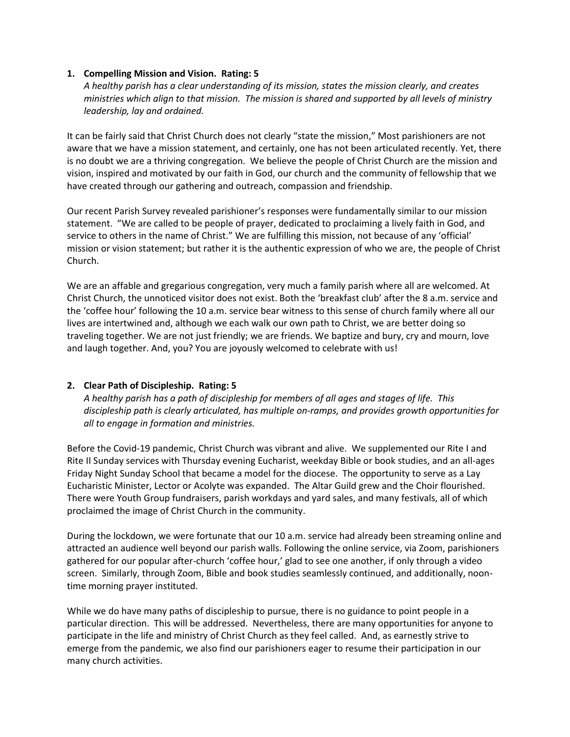## **1. Compelling Mission and Vision. Rating: 5**

*A healthy parish has a clear understanding of its mission, states the mission clearly, and creates ministries which align to that mission. The mission is shared and supported by all levels of ministry leadership, lay and ordained.* 

It can be fairly said that Christ Church does not clearly "state the mission," Most parishioners are not aware that we have a mission statement, and certainly, one has not been articulated recently. Yet, there is no doubt we are a thriving congregation. We believe the people of Christ Church are the mission and vision, inspired and motivated by our faith in God, our church and the community of fellowship that we have created through our gathering and outreach, compassion and friendship.

Our recent Parish Survey revealed parishioner's responses were fundamentally similar to our mission statement. "We are called to be people of prayer, dedicated to proclaiming a lively faith in God, and service to others in the name of Christ." We are fulfilling this mission, not because of any 'official' mission or vision statement; but rather it is the authentic expression of who we are, the people of Christ Church.

We are an affable and gregarious congregation, very much a family parish where all are welcomed. At Christ Church, the unnoticed visitor does not exist. Both the 'breakfast club' after the 8 a.m. service and the 'coffee hour' following the 10 a.m. service bear witness to this sense of church family where all our lives are intertwined and, although we each walk our own path to Christ, we are better doing so traveling together. We are not just friendly; we are friends. We baptize and bury, cry and mourn, love and laugh together. And, you? You are joyously welcomed to celebrate with us!

## **2. Clear Path of Discipleship. Rating: 5**

*A healthy parish has a path of discipleship for members of all ages and stages of life. This discipleship path is clearly articulated, has multiple on-ramps, and provides growth opportunities for all to engage in formation and ministries.*

Before the Covid-19 pandemic, Christ Church was vibrant and alive. We supplemented our Rite I and Rite II Sunday services with Thursday evening Eucharist, weekday Bible or book studies, and an all-ages Friday Night Sunday School that became a model for the diocese. The opportunity to serve as a Lay Eucharistic Minister, Lector or Acolyte was expanded. The Altar Guild grew and the Choir flourished. There were Youth Group fundraisers, parish workdays and yard sales, and many festivals, all of which proclaimed the image of Christ Church in the community.

During the lockdown, we were fortunate that our 10 a.m. service had already been streaming online and attracted an audience well beyond our parish walls. Following the online service, via Zoom, parishioners gathered for our popular after-church 'coffee hour,' glad to see one another, if only through a video screen. Similarly, through Zoom, Bible and book studies seamlessly continued, and additionally, noontime morning prayer instituted.

While we do have many paths of discipleship to pursue, there is no guidance to point people in a particular direction. This will be addressed. Nevertheless, there are many opportunities for anyone to participate in the life and ministry of Christ Church as they feel called. And, as earnestly strive to emerge from the pandemic, we also find our parishioners eager to resume their participation in our many church activities.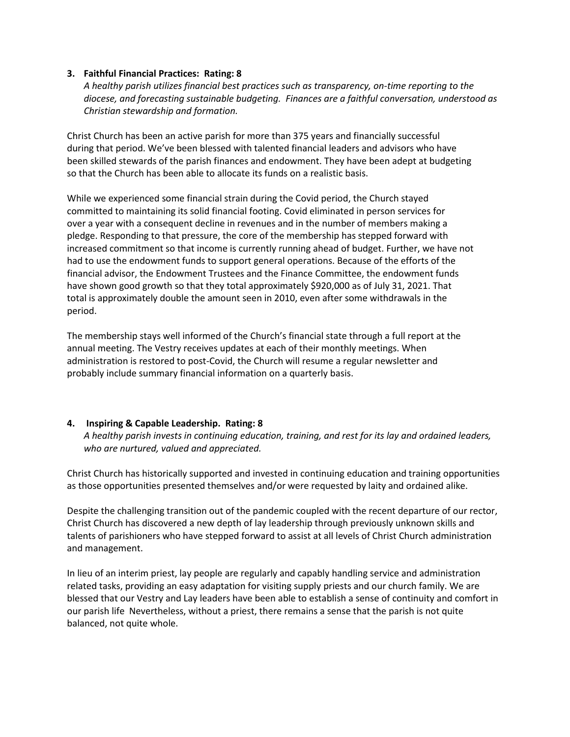## **3. Faithful Financial Practices: Rating: 8**

*A healthy parish utilizes financial best practices such as transparency, on-time reporting to the diocese, and forecasting sustainable budgeting. Finances are a faithful conversation, understood as Christian stewardship and formation.*

Christ Church has been an active parish for more than 375 years and financially successful during that period. We've been blessed with talented financial leaders and advisors who have been skilled stewards of the parish finances and endowment. They have been adept at budgeting so that the Church has been able to allocate its funds on a realistic basis.

While we experienced some financial strain during the Covid period, the Church stayed committed to maintaining its solid financial footing. Covid eliminated in person services for over a year with a consequent decline in revenues and in the number of members making a pledge. Responding to that pressure, the core of the membership has stepped forward with increased commitment so that income is currently running ahead of budget. Further, we have not had to use the endowment funds to support general operations. Because of the efforts of the financial advisor, the Endowment Trustees and the Finance Committee, the endowment funds have shown good growth so that they total approximately \$920,000 as of July 31, 2021. That total is approximately double the amount seen in 2010, even after some withdrawals in the period.

The membership stays well informed of the Church's financial state through a full report at the annual meeting. The Vestry receives updates at each of their monthly meetings. When administration is restored to post-Covid, the Church will resume a regular newsletter and probably include summary financial information on a quarterly basis.

## **4. Inspiring & Capable Leadership. Rating: 8**

*A healthy parish invests in continuing education, training, and rest for its lay and ordained leaders, who are nurtured, valued and appreciated.*

Christ Church has historically supported and invested in continuing education and training opportunities as those opportunities presented themselves and/or were requested by laity and ordained alike.

Despite the challenging transition out of the pandemic coupled with the recent departure of our rector, Christ Church has discovered a new depth of lay leadership through previously unknown skills and talents of parishioners who have stepped forward to assist at all levels of Christ Church administration and management.

In lieu of an interim priest, lay people are regularly and capably handling service and administration related tasks, providing an easy adaptation for visiting supply priests and our church family. We are blessed that our Vestry and Lay leaders have been able to establish a sense of continuity and comfort in our parish life Nevertheless, without a priest, there remains a sense that the parish is not quite balanced, not quite whole.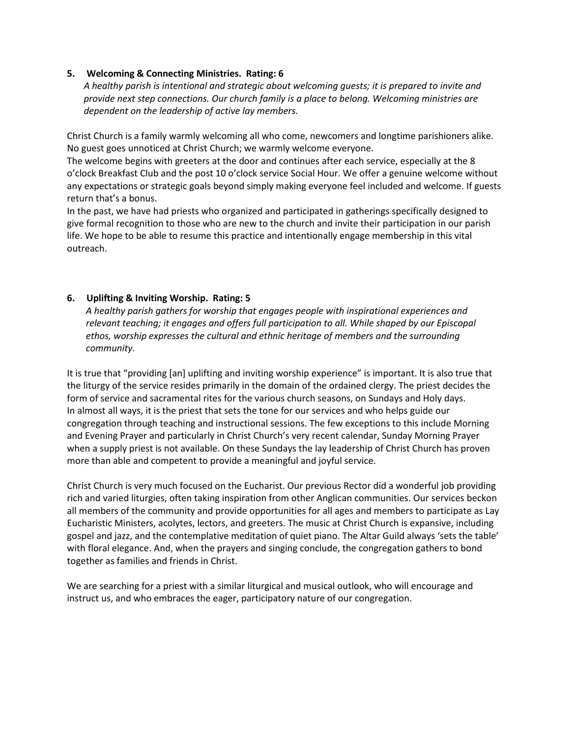## **5. Welcoming & Connecting Ministries. Rating: 6**

*A healthy parish is intentional and strategic about welcoming guests; it is prepared to invite and provide next step connections. Our church family is a place to belong. Welcoming ministries are dependent on the leadership of active lay members.*

Christ Church is a family warmly welcoming all who come, newcomers and longtime parishioners alike. No guest goes unnoticed at Christ Church; we warmly welcome everyone.

The welcome begins with greeters at the door and continues after each service, especially at the 8 o'clock Breakfast Club and the post 10 o'clock service Social Hour. We offer a genuine welcome without any expectations or strategic goals beyond simply making everyone feel included and welcome. If guests return that's a bonus.

In the past, we have had priests who organized and participated in gatherings specifically designed to give formal recognition to those who are new to the church and invite their participation in our parish life. We hope to be able to resume this practice and intentionally engage membership in this vital outreach.

## **6. Uplifting & Inviting Worship. Rating: 5**

*A healthy parish gathers for worship that engages people with inspirational experiences and relevant teaching; it engages and offers full participation to all. While shaped by our Episcopal ethos, worship expresses the cultural and ethnic heritage of members and the surrounding community.*

It is true that "providing [an] uplifting and inviting worship experience" is important. It is also true that the liturgy of the service resides primarily in the domain of the ordained clergy. The priest decides the form of service and sacramental rites for the various church seasons, on Sundays and Holy days. In almost all ways, it is the priest that sets the tone for our services and who helps guide our congregation through teaching and instructional sessions. The few exceptions to this include Morning and Evening Prayer and particularly in Christ Church's very recent calendar, Sunday Morning Prayer when a supply priest is not available. On these Sundays the lay leadership of Christ Church has proven more than able and competent to provide a meaningful and joyful service.

Christ Church is very much focused on the Eucharist. Our previous Rector did a wonderful job providing rich and varied liturgies, often taking inspiration from other Anglican communities. Our services beckon all members of the community and provide opportunities for all ages and members to participate as Lay Eucharistic Ministers, acolytes, lectors, and greeters. The music at Christ Church is expansive, including gospel and jazz, and the contemplative meditation of quiet piano. The Altar Guild always 'sets the table' with floral elegance. And, when the prayers and singing conclude, the congregation gathers to bond together as families and friends in Christ.

We are searching for a priest with a similar liturgical and musical outlook, who will encourage and instruct us, and who embraces the eager, participatory nature of our congregation.